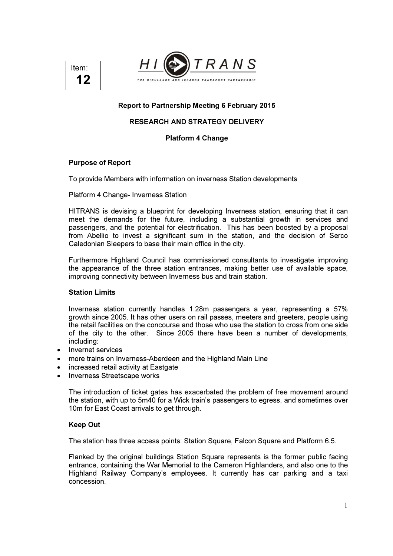



### Report to Partnership Meeting 6 February 2015

# RESEARCH AND STRATEGY DELIVERY

#### Platform 4 Change

#### Purpose of Report

To provide Members with information on inverness Station developments

Platform 4 Change- Inverness Station

HITRANS is devising a blueprint for developing Inverness station, ensuring that it can meet the demands for the future, including a substantial growth in services and passengers, and the potential for electrification. This has been boosted by a proposal from Abellio to invest a significant sum in the station, and the decision of Serco Caledonian Sleepers to base their main office in the city.

Furthermore Highland Council has commissioned consultants to investigate improving the appearance of the three station entrances, making better use of available space, improving connectivity between Inverness bus and train station.

#### Station Limits

Inverness station currently handles 1.28m passengers a year, representing a 57% growth since 2005. It has other users on rail passes, meeters and greeters, people using the retail facilities on the concourse and those who use the station to cross from one side of the city to the other. Since 2005 there have been a number of developments, including:

- Invernet services
- more trains on Inverness-Aberdeen and the Highland Main Line
- increased retail activity at Eastgate
- Inverness Streetscape works

The introduction of ticket gates has exacerbated the problem of free movement around the station, with up to 5m40 for a Wick train's passengers to egress, and sometimes over 10m for East Coast arrivals to get through.

#### Keep Out

The station has three access points: Station Square, Falcon Square and Platform 6.5.

Flanked by the original buildings Station Square represents is the former public facing entrance, containing the War Memorial to the Cameron Highlanders, and also one to the Highland Railway Company's employees. It currently has car parking and a taxi concession.